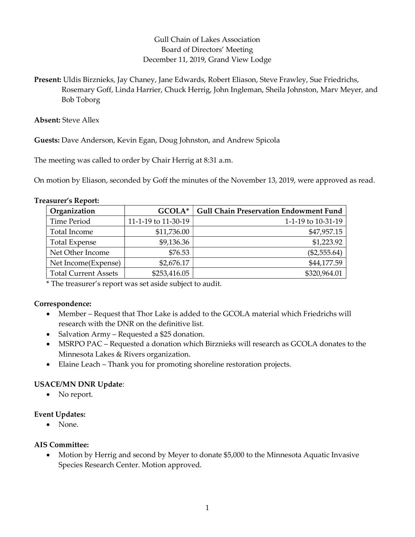# Gull Chain of Lakes Association Board of Directors' Meeting December 11, 2019, Grand View Lodge

Present: Uldis Birznieks, Jay Chaney, Jane Edwards, Robert Eliason, Steve Frawley, Sue Friedrichs, Rosemary Goff, Linda Harrier, Chuck Herrig, John Ingleman, Sheila Johnston, Marv Meyer, and Bob Toborg

Absent: Steve Allex

Guests: Dave Anderson, Kevin Egan, Doug Johnston, and Andrew Spicola

The meeting was called to order by Chair Herrig at 8:31 a.m.

On motion by Eliason, seconded by Goff the minutes of the November 13, 2019, were approved as read.

| Organization                | GCOLA*              | <b>Gull Chain Preservation Endowment Fund</b> |
|-----------------------------|---------------------|-----------------------------------------------|
| Time Period                 | 11-1-19 to 11-30-19 | 1-1-19 to 10-31-19                            |
| Total Income                | \$11,736.00         | \$47,957.15                                   |
| <b>Total Expense</b>        | \$9,136.36          | \$1,223.92                                    |
| Net Other Income            | \$76.53             | $(\$2,555.64)$                                |
| Net Income(Expense)         | \$2,676.17          | \$44,177.59                                   |
| <b>Total Current Assets</b> | \$253,416.05        | \$320,964.01                                  |

\* The treasurer's report was set aside subject to audit.

#### Correspondence:

- Member Request that Thor Lake is added to the GCOLA material which Friedrichs will research with the DNR on the definitive list.
- Salvation Army Requested a \$25 donation.
- MSRPO PAC Requested a donation which Birznieks will research as GCOLA donates to the Minnesota Lakes & Rivers organization.
- Elaine Leach Thank you for promoting shoreline restoration projects.

### USACE/MN DNR Update:

• No report.

### Event Updates:

None.

### AIS Committee:

 Motion by Herrig and second by Meyer to donate \$5,000 to the Minnesota Aquatic Invasive Species Research Center. Motion approved.